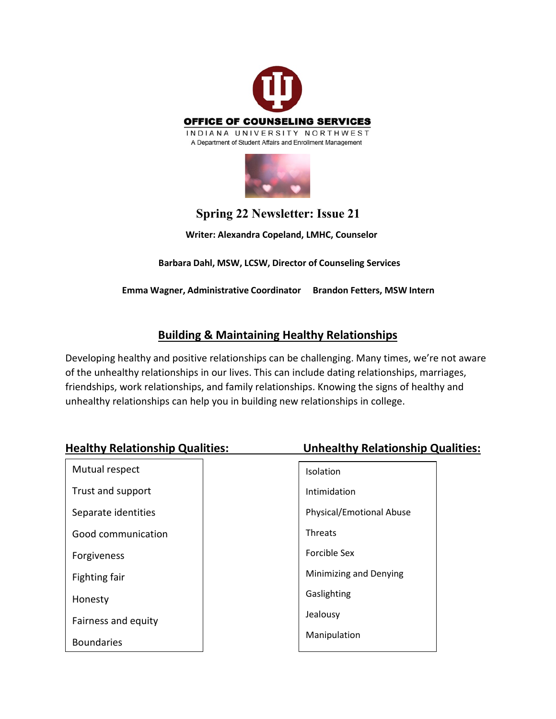

## **Spring 22 Newsletter: Issue 21**

**Writer: Alexandra Copeland, LMHC, Counselor**

 **Barbara Dahl, MSW, LCSW, Director of Counseling Services**

**Emma Wagner, Administrative Coordinator Brandon Fetters, MSW Intern**

## **Building & Maintaining Healthy Relationships**

Developing healthy and positive relationships can be challenging. Many times, we're not aware of the unhealthy relationships in our lives. This can include dating relationships, marriages, friendships, work relationships, and family relationships. Knowing the signs of healthy and unhealthy relationships can help you in building new relationships in college.

| <b>Healthy Relationship Qualities:</b> | <b>Unhealthy Relationship Qualities:</b> |
|----------------------------------------|------------------------------------------|
| Mutual respect                         | Isolation                                |
| Trust and support                      | Intimidation                             |
| Separate identities                    | <b>Physical/Emotional Abuse</b>          |
| Good communication                     | <b>Threats</b>                           |
| Forgiveness                            | Forcible Sex                             |
| Fighting fair                          | Minimizing and Denying                   |
| Honesty                                | Gaslighting                              |
| Fairness and equity                    | Jealousy                                 |
| <b>Boundaries</b>                      | Manipulation                             |